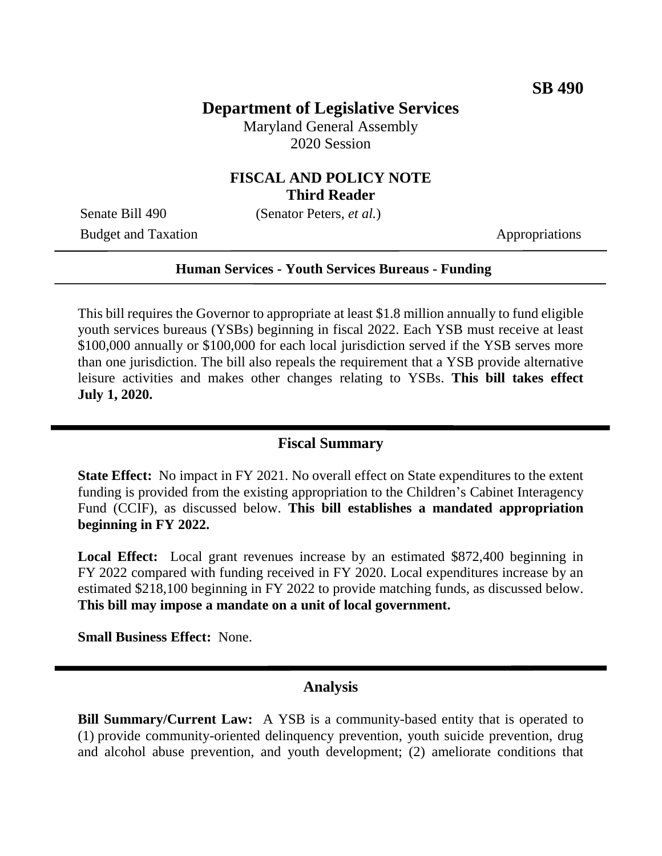## **Department of Legislative Services**

Maryland General Assembly 2020 Session

### **FISCAL AND POLICY NOTE Third Reader**

Senate Bill 490 (Senator Peters, *et al.*)

Budget and Taxation Appropriations

#### **Human Services - Youth Services Bureaus - Funding**

This bill requires the Governor to appropriate at least \$1.8 million annually to fund eligible youth services bureaus (YSBs) beginning in fiscal 2022. Each YSB must receive at least \$100,000 annually or \$100,000 for each local jurisdiction served if the YSB serves more than one jurisdiction. The bill also repeals the requirement that a YSB provide alternative leisure activities and makes other changes relating to YSBs. **This bill takes effect July 1, 2020.**

### **Fiscal Summary**

**State Effect:** No impact in FY 2021. No overall effect on State expenditures to the extent funding is provided from the existing appropriation to the Children's Cabinet Interagency Fund (CCIF), as discussed below. **This bill establishes a mandated appropriation beginning in FY 2022.**

**Local Effect:** Local grant revenues increase by an estimated \$872,400 beginning in FY 2022 compared with funding received in FY 2020. Local expenditures increase by an estimated \$218,100 beginning in FY 2022 to provide matching funds, as discussed below. **This bill may impose a mandate on a unit of local government.**

**Small Business Effect:** None.

#### **Analysis**

**Bill Summary/Current Law:** A YSB is a community-based entity that is operated to (1) provide community-oriented delinquency prevention, youth suicide prevention, drug and alcohol abuse prevention, and youth development; (2) ameliorate conditions that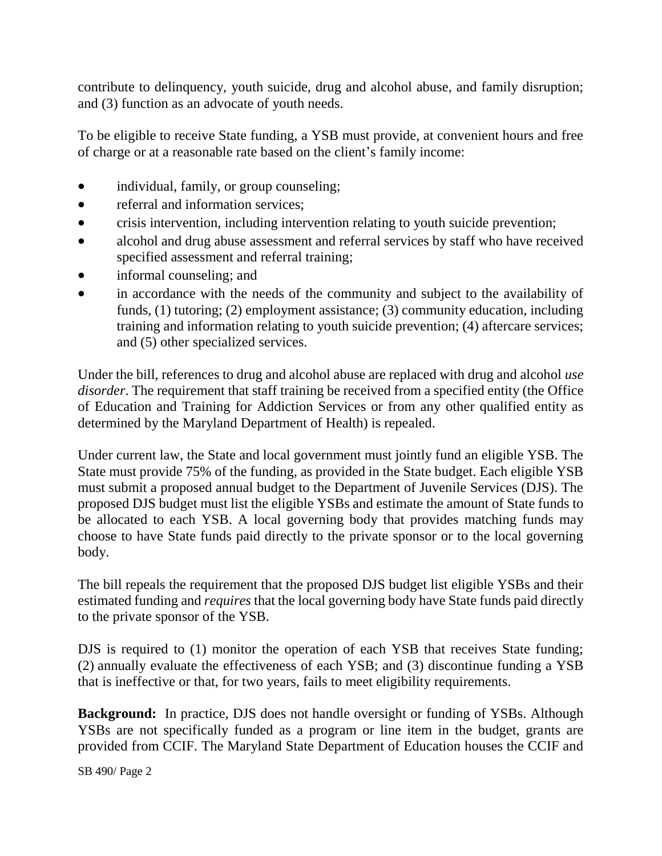contribute to delinquency, youth suicide, drug and alcohol abuse, and family disruption; and (3) function as an advocate of youth needs.

To be eligible to receive State funding, a YSB must provide, at convenient hours and free of charge or at a reasonable rate based on the client's family income:

- individual, family, or group counseling;
- referral and information services:
- crisis intervention, including intervention relating to youth suicide prevention;
- alcohol and drug abuse assessment and referral services by staff who have received specified assessment and referral training;
- informal counseling; and
- in accordance with the needs of the community and subject to the availability of funds, (1) tutoring; (2) employment assistance; (3) community education, including training and information relating to youth suicide prevention; (4) aftercare services; and (5) other specialized services.

Under the bill, references to drug and alcohol abuse are replaced with drug and alcohol *use disorder*. The requirement that staff training be received from a specified entity (the Office of Education and Training for Addiction Services or from any other qualified entity as determined by the Maryland Department of Health) is repealed.

Under current law, the State and local government must jointly fund an eligible YSB. The State must provide 75% of the funding, as provided in the State budget. Each eligible YSB must submit a proposed annual budget to the Department of Juvenile Services (DJS). The proposed DJS budget must list the eligible YSBs and estimate the amount of State funds to be allocated to each YSB. A local governing body that provides matching funds may choose to have State funds paid directly to the private sponsor or to the local governing body.

The bill repeals the requirement that the proposed DJS budget list eligible YSBs and their estimated funding and *requires* that the local governing body have State funds paid directly to the private sponsor of the YSB.

DJS is required to (1) monitor the operation of each YSB that receives State funding; (2) annually evaluate the effectiveness of each YSB; and (3) discontinue funding a YSB that is ineffective or that, for two years, fails to meet eligibility requirements.

**Background:** In practice, DJS does not handle oversight or funding of YSBs. Although YSBs are not specifically funded as a program or line item in the budget, grants are provided from CCIF. The Maryland State Department of Education houses the CCIF and

SB 490/ Page 2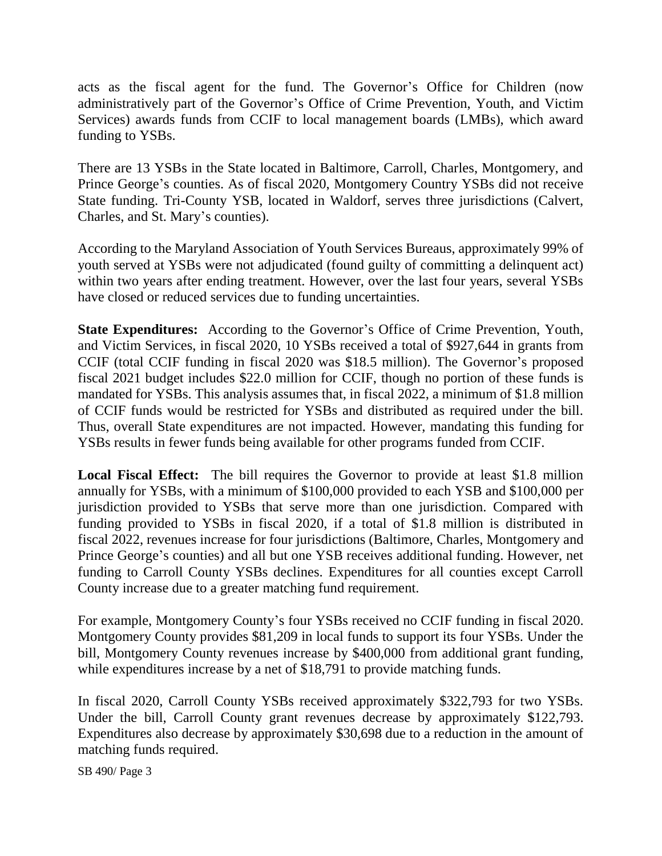acts as the fiscal agent for the fund. The Governor's Office for Children (now administratively part of the Governor's Office of Crime Prevention, Youth, and Victim Services) awards funds from CCIF to local management boards (LMBs), which award funding to YSBs.

There are 13 YSBs in the State located in Baltimore, Carroll, Charles, Montgomery, and Prince George's counties. As of fiscal 2020, Montgomery Country YSBs did not receive State funding. Tri-County YSB, located in Waldorf, serves three jurisdictions (Calvert, Charles, and St. Mary's counties).

According to the Maryland Association of Youth Services Bureaus, approximately 99% of youth served at YSBs were not adjudicated (found guilty of committing a delinquent act) within two years after ending treatment. However, over the last four years, several YSBs have closed or reduced services due to funding uncertainties.

**State Expenditures:** According to the Governor's Office of Crime Prevention, Youth, and Victim Services, in fiscal 2020, 10 YSBs received a total of \$927,644 in grants from CCIF (total CCIF funding in fiscal 2020 was \$18.5 million). The Governor's proposed fiscal 2021 budget includes \$22.0 million for CCIF, though no portion of these funds is mandated for YSBs. This analysis assumes that, in fiscal 2022, a minimum of \$1.8 million of CCIF funds would be restricted for YSBs and distributed as required under the bill. Thus, overall State expenditures are not impacted. However, mandating this funding for YSBs results in fewer funds being available for other programs funded from CCIF.

**Local Fiscal Effect:** The bill requires the Governor to provide at least \$1.8 million annually for YSBs, with a minimum of \$100,000 provided to each YSB and \$100,000 per jurisdiction provided to YSBs that serve more than one jurisdiction. Compared with funding provided to YSBs in fiscal 2020, if a total of \$1.8 million is distributed in fiscal 2022, revenues increase for four jurisdictions (Baltimore, Charles, Montgomery and Prince George's counties) and all but one YSB receives additional funding. However, net funding to Carroll County YSBs declines. Expenditures for all counties except Carroll County increase due to a greater matching fund requirement.

For example, Montgomery County's four YSBs received no CCIF funding in fiscal 2020. Montgomery County provides \$81,209 in local funds to support its four YSBs. Under the bill, Montgomery County revenues increase by \$400,000 from additional grant funding, while expenditures increase by a net of \$18,791 to provide matching funds.

In fiscal 2020, Carroll County YSBs received approximately \$322,793 for two YSBs. Under the bill, Carroll County grant revenues decrease by approximately \$122,793. Expenditures also decrease by approximately \$30,698 due to a reduction in the amount of matching funds required.

SB 490/ Page 3